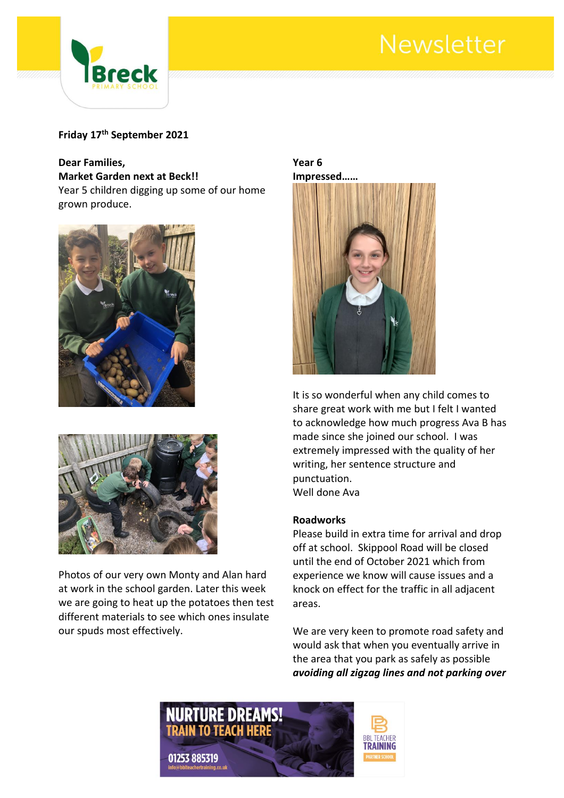# Newsletter



### **Friday 17th September 2021**

#### **Dear Families,**

**Market Garden next at Beck!!**

Year 5 children digging up some of our home grown produce.





Photos of our very own Monty and Alan hard at work in the school garden. Later this week we are going to heat up the potatoes then test different materials to see which ones insulate our spuds most effectively.

#### **Year 6 Impressed……**



It is so wonderful when any child comes to share great work with me but I felt I wanted to acknowledge how much progress Ava B has made since she joined our school. I was extremely impressed with the quality of her writing, her sentence structure and punctuation. Well done Ava

#### **Roadworks**

Please build in extra time for arrival and drop off at school. Skippool Road will be closed until the end of October 2021 which from experience we know will cause issues and a knock on effect for the traffic in all adjacent areas.

We are very keen to promote road safety and would ask that when you eventually arrive in the area that you park as safely as possible *avoiding all zigzag lines and not parking over* 

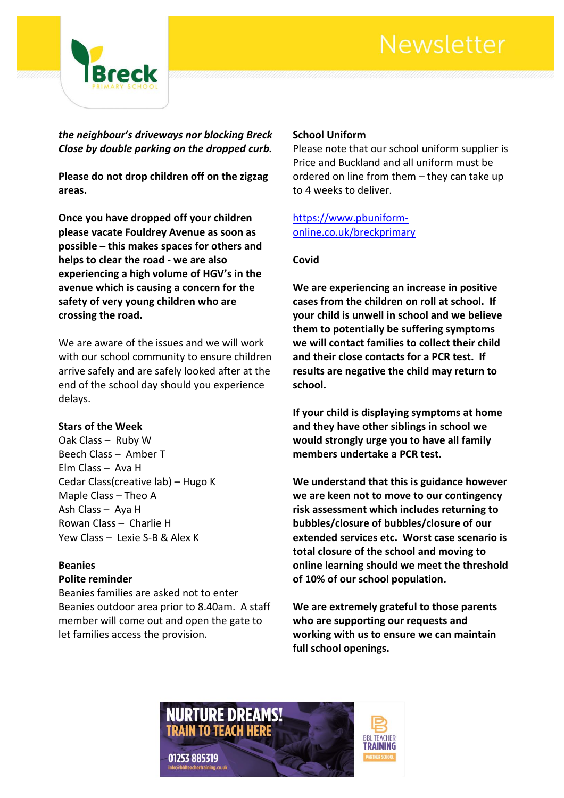# Newsletter



*the neighbour's driveways nor blocking Breck Close by double parking on the dropped curb.*

**Please do not drop children off on the zigzag areas.**

**Once you have dropped off your children please vacate Fouldrey Avenue as soon as possible – this makes spaces for others and helps to clear the road - we are also experiencing a high volume of HGV's in the avenue which is causing a concern for the safety of very young children who are crossing the road.**

We are aware of the issues and we will work with our school community to ensure children arrive safely and are safely looked after at the end of the school day should you experience delays.

#### **Stars of the Week**

Oak Class – Ruby W Beech Class – Amber T Elm Class – Ava H Cedar Class(creative lab) – Hugo K Maple Class – Theo A Ash Class – Aya H Rowan Class – Charlie H Yew Class – Lexie S-B & Alex K

#### **Beanies Polite reminder**

Beanies families are asked not to enter Beanies outdoor area prior to 8.40am. A staff member will come out and open the gate to let families access the provision.

#### **School Uniform**

Please note that our school uniform supplier is Price and Buckland and all uniform must be ordered on line from them – they can take up to 4 weeks to deliver.

[https://www.pbuniform](https://www.pbuniform-online.co.uk/breckprimary)[online.co.uk/breckprimary](https://www.pbuniform-online.co.uk/breckprimary)

#### **Covid**

**We are experiencing an increase in positive cases from the children on roll at school. If your child is unwell in school and we believe them to potentially be suffering symptoms we will contact families to collect their child and their close contacts for a PCR test. If results are negative the child may return to school.**

**If your child is displaying symptoms at home and they have other siblings in school we would strongly urge you to have all family members undertake a PCR test.**

**We understand that this is guidance however we are keen not to move to our contingency risk assessment which includes returning to bubbles/closure of bubbles/closure of our extended services etc. Worst case scenario is total closure of the school and moving to online learning should we meet the threshold of 10% of our school population.**

**We are extremely grateful to those parents who are supporting our requests and working with us to ensure we can maintain full school openings.**